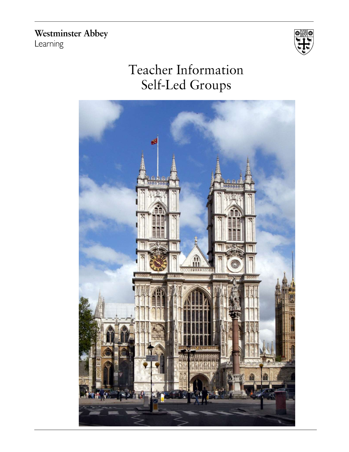**Westminster Abbey** Learning



# Teacher Information Self-Led Groups

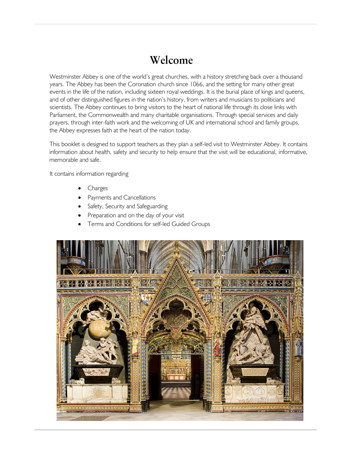### Welcome

Westminster Abbey is one of the world's great churches, with a history stretching back over a thousand years. The Abbey has been the Coronation church since 1066, and the setting for many other great events in the life of the nation, including sixteen royal weddings. It is the burial place of kings and queens, and of other distinguished figures in the nation's history, from writers and musicians to politicians and scientists. The Abbey continues to bring visitors to the heart of national life through its close links with Parliament, the Commonwealth and many charitable organisations. Through special services and daily prayers, through inter-faith work and the welcoming of UK and international school and family groups, the Abbey expresses faith at the heart of the nation today.

This booklet is designed to support teachers as they plan a self-led visit to Westminster Abbey. It contains information about health, safety and security to help ensure that the visit will be educational, informative, memorable and safe.

It contains information regarding

- Charges
- Payments and Cancellations
- Safety, Security and Safeguarding
- Preparation and on the day of your visit
- Terms and Conditions for self-led Guided Groups

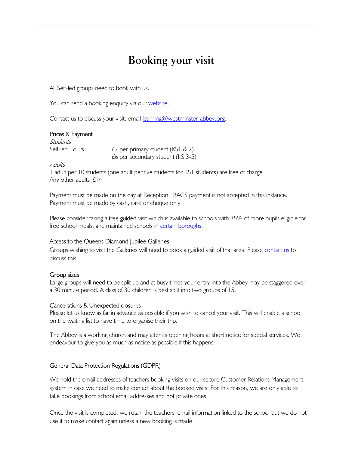## Booking your visit

All Self-led groups need to book with us.

You can send a booking enquiry via our website.

Contact us to discuss your visit, email learning@westminster-abbey.org.

#### Prices & Payment

Students Self-led Tours  $f_2$  per primary student (KS1 & 2) £6 per secondary student (KS 3-5)

Adults

1 adult per 10 students (one adult per five students for KS1 students) are free of charge Any other adults £14

Payment must be made on the day at Reception. BACS payment is not accepted in this instance. Payment must be made by cash, card or cheque only.

Please consider taking a **free guided** visit which is available to schools with 35% of more pupils eligible for free school meals, and maintained schools in certain boroughs.

#### Access to the Queens Diamond Jubilee Galleries

Groups wishing to visit the Galleries will need to book a guided visit of that area. Please contact us to discuss this.

#### Group sizes

Large groups will need to be split up and at busy times your entry into the Abbey may be staggered over a 30 minute period. A class of 30 children is best split into two groups of 15.

#### Cancellations & Unexpected closures

Please let us know as far in advance as possible if you wish to cancel your visit. This will enable a school on the waiting list to have time to organise their trip.

The Abbey is a working church and may alter its opening hours at short notice for special services. We endeavour to give you as much as notice as possible if this happens

#### General Data Protection Regulations (GDPR)

We hold the email addresses of teachers booking visits on our secure Customer Relations Management system in case we need to make contact about the booked visits. For this reason, we are only able to take bookings from school email addresses and not private ones.

Once the visit is completed, we retain the teachers' email information linked to the school but we do not use it to make contact again unless a new booking is made.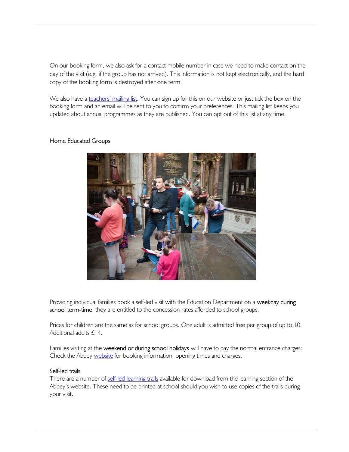On our booking form, we also ask for a contact mobile number in case we need to make contact on the day of the visit (e.g. if the group has not arrived). This information is not kept electronically, and the hard copy of the booking form is destroyed after one term.

We also have a teachers' mailing list. You can sign up for this on our website or just tick the box on the booking form and an email will be sent to you to confirm your preferences. This mailing list keeps you updated about annual programmes as they are published. You can opt out of this list at any time.

#### Home Educated Groups



Providing individual families book a self-led visit with the Education Department on a weekday during school term-time, they are entitled to the concession rates afforded to school groups.

Prices for children are the same as for school groups. One adult is admitted free per group of up to 10. Additional adults £14.

Families visiting at the weekend or during school holidays will have to pay the normal entrance charges: Check the Abbey website for booking information, opening times and charges.

#### Self-led trails

There are a number of self-led learning trails available for download from the learning section of the Abbey's website. These need to be printed at school should you wish to use copies of the trails during your visit.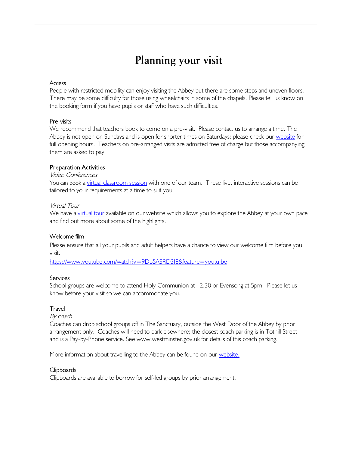## Planning your visit

#### **Access**

People with restricted mobility can enjoy visiting the Abbey but there are some steps and uneven floors. There may be some difficulty for those using wheelchairs in some of the chapels. Please tell us know on the booking form if you have pupils or staff who have such difficulties.

#### Pre-visits

We recommend that teachers book to come on a pre-visit. Please contact us to arrange a time. The Abbey is not open on Sundays and is open for shorter times on Saturdays; please check our website for full opening hours. Teachers on pre-arranged visits are admitted free of charge but those accompanying them are asked to pay.

#### **Preparation Activities**

#### Video Conferences

You can book a virtual classroom session with one of our team. These live, interactive sessions can be tailored to your requirements at a time to suit you.

#### Virtual Tour

We have a virtual tour available on our website which allows you to explore the Abbey at your own pace and find out more about some of the highlights.

#### Welcome film

Please ensure that all your pupils and adult helpers have a chance to view our welcome film before you visit.

https://www.youtube.com/watch?v=9Dp5ASRD3I8&feature=youtu.be

#### **Services**

School groups are welcome to attend Holy Communion at 12.30 or Evensong at 5pm. Please let us know before your visit so we can accommodate you.

#### **Travel**

#### By coach

Coaches can drop school groups off in The Sanctuary, outside the West Door of the Abbey by prior arrangement only. Coaches will need to park elsewhere; the closest coach parking is in Tothill Street and is a Pay-by-Phone service. See www.westminster.gov.uk for details of this coach parking.

More information about travelling to the Abbey can be found on our website.

#### Clipboards

Clipboards are available to borrow for self-led groups by prior arrangement.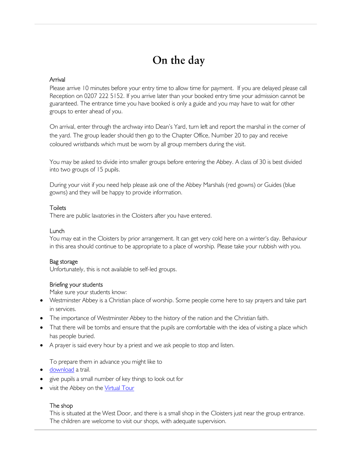## On the day

#### Arrival

Please arrive 10 minutes before your entry time to allow time for payment. If you are delayed please call Reception on 0207 222 5152. If you arrive later than your booked entry time your admission cannot be guaranteed. The entrance time you have booked is only a guide and you may have to wait for other groups to enter ahead of you.

On arrival, enter through the archway into Dean's Yard, turn left and report the marshal in the corner of the yard. The group leader should then go to the Chapter Office, Number 20 to pay and receive coloured wristbands which must be worn by all group members during the visit.

You may be asked to divide into smaller groups before entering the Abbey. A class of 30 is best divided into two groups of 15 pupils.

During your visit if you need help please ask one of the Abbey Marshals (red gowns) or Guides (blue gowns) and they will be happy to provide information.

#### **Toilets**

There are public lavatories in the Cloisters after you have entered.

#### Lunch

You may eat in the Cloisters by prior arrangement. It can get very cold here on a winter's day. Behaviour in this area should continue to be appropriate to a place of worship. Please take your rubbish with you.

#### Bag storage

Unfortunately, this is not available to self-led groups.

#### Briefing your students

Make sure your students know:

- Westminster Abbey is a Christian place of worship. Some people come here to say prayers and take part in services.
- The importance of Westminster Abbey to the history of the nation and the Christian faith.
- That there will be tombs and ensure that the pupils are comfortable with the idea of visiting a place which has people buried.
- A prayer is said every hour by a priest and we ask people to stop and listen.

To prepare them in advance you might like to

- download a trail.
- give pupils a small number of key things to look out for
- visit the Abbey on the Virtual Tour

#### The shop

This is situated at the West Door, and there is a small shop in the Cloisters just near the group entrance. The children are welcome to visit our shops, with adequate supervision.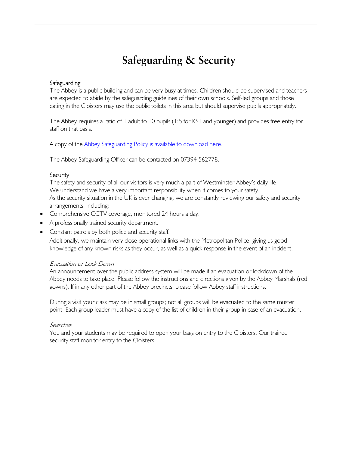## **Safeguarding & Security**

#### **Safeguarding**

The Abbey is a public building and can be very busy at times. Children should be supervised and teachers are expected to abide by the safeguarding guidelines of their own schools. Self-led groups and those eating in the Cloisters may use the public toilets in this area but should supervise pupils appropriately.

The Abbey requires a ratio of 1 adult to 10 pupils (1:5 for KS1 and younger) and provides free entry for staff on that basis.

A copy of the Abbey Safeguarding Policy is available to download here.

The Abbey Safeguarding Officer can be contacted on 07394 562778.

#### **Security**

The safety and security of all our visitors is very much a part of Westminster Abbey's daily life. We understand we have a very important responsibility when it comes to your safety. As the security situation in the UK is ever changing, we are constantly reviewing our safety and security arrangements, including:

- Comprehensive CCTV coverage, monitored 24 hours a day.
- A professionally trained security department.
- Constant patrols by both police and security staff.

Additionally, we maintain very close operational links with the Metropolitan Police, giving us good knowledge of any known risks as they occur, as well as a quick response in the event of an incident.

#### Evacuation or Lock Down

An announcement over the public address system will be made if an evacuation or lockdown of the Abbey needs to take place. Please follow the instructions and directions given by the Abbey Marshals (red gowns). If in any other part of the Abbey precincts, please follow Abbey staff instructions.

During a visit your class may be in small groups; not all groups will be evacuated to the same muster point. Each group leader must have a copy of the list of children in their group in case of an evacuation.

#### Searches

You and your students may be required to open your bags on entry to the Cloisters. Our trained security staff monitor entry to the Cloisters.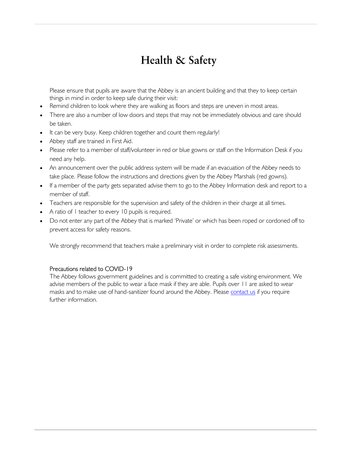## Health & Safety

Please ensure that pupils are aware that the Abbey is an ancient building and that they to keep certain things in mind in order to keep safe during their visit:

- Remind children to look where they are walking as floors and steps are uneven in most areas.
- There are also a number of low doors and steps that may not be immediately obvious and care should be taken.
- It can be very busy. Keep children together and count them regularly!
- Abbey staff are trained in First Aid.
- Please refer to a member of staff/volunteer in red or blue gowns or staff on the Information Desk if you need any help.
- An announcement over the public address system will be made if an evacuation of the Abbey needs to take place. Please follow the instructions and directions given by the Abbey Marshals (red gowns).
- If a member of the party gets separated advise them to go to the Abbey Information desk and report to a member of staff.
- Teachers are responsible for the supervision and safety of the children in their charge at all times.
- A ratio of 1 teacher to every 10 pupils is required.
- Do not enter any part of the Abbey that is marked 'Private' or which has been roped or cordoned off to prevent access for safety reasons.

We strongly recommend that teachers make a preliminary visit in order to complete risk assessments.

#### Precautions related to COVID-19

The Abbey follows government guidelines and is committed to creating a safe visiting environment. We advise members of the public to wear a face mask if they are able. Pupils over 11 are asked to wear masks and to make use of hand-sanitizer found around the Abbey. Please contact us if you require further information.